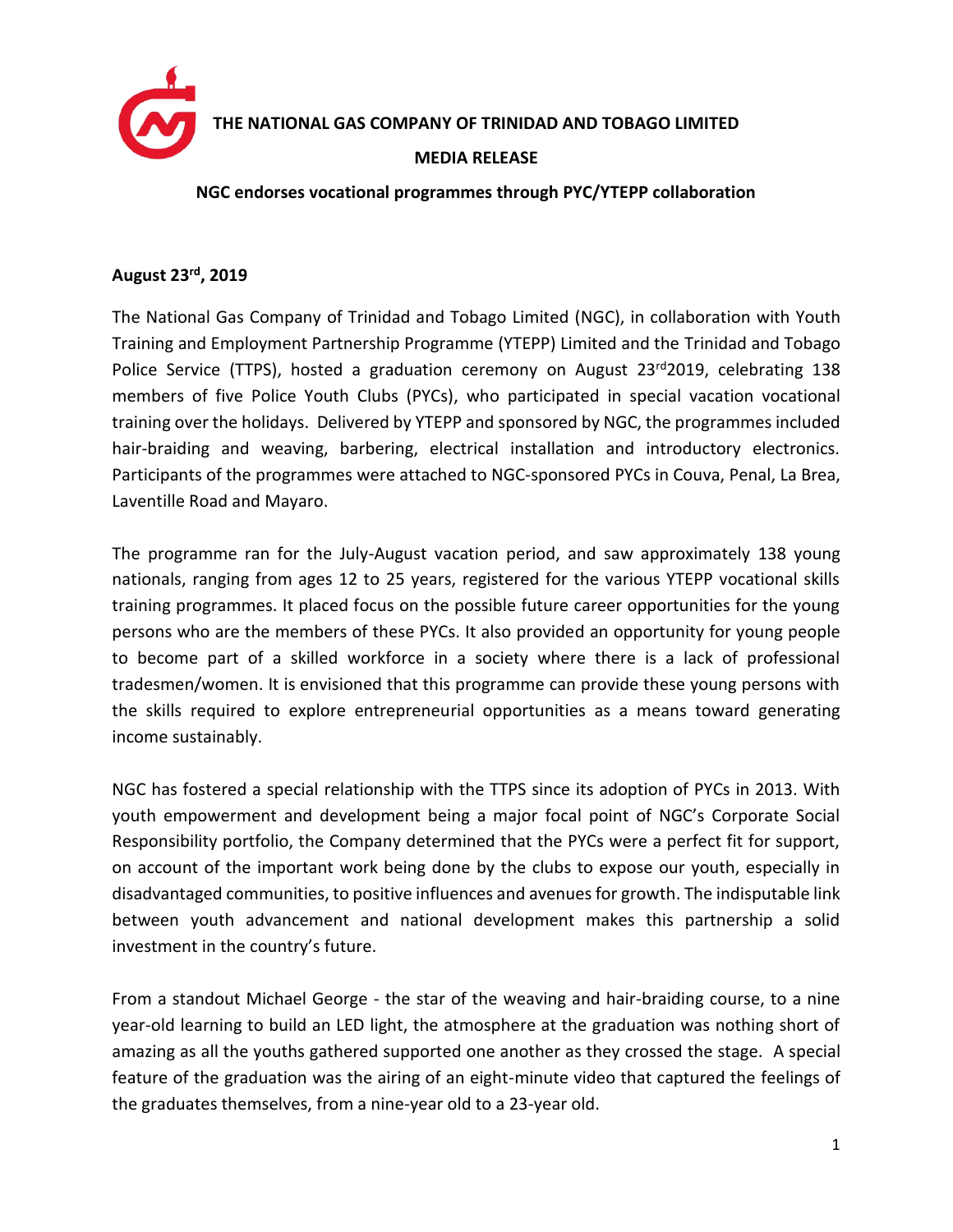

**THE NATIONAL GAS COMPANY OF TRINIDAD AND TOBAGO LIMITED**

## **MEDIA RELEASE**

## **NGC endorses vocational programmes through PYC/YTEPP collaboration**

## **August 23 rd , 2019**

The National Gas Company of Trinidad and Tobago Limited (NGC), in collaboration with Youth Training and Employment Partnership Programme (YTEPP) Limited and the Trinidad and Tobago Police Service (TTPS), hosted a graduation ceremony on August  $23<sup>rd</sup>2019$ , celebrating 138 members of five Police Youth Clubs (PYCs), who participated in special vacation vocational training over the holidays. Delivered by YTEPP and sponsored by NGC, the programmes included hair-braiding and weaving, barbering, electrical installation and introductory electronics. Participants of the programmes were attached to NGC-sponsored PYCs in Couva, Penal, La Brea, Laventille Road and Mayaro.

The programme ran for the July-August vacation period, and saw approximately 138 young nationals, ranging from ages 12 to 25 years, registered for the various YTEPP vocational skills training programmes. It placed focus on the possible future career opportunities for the young persons who are the members of these PYCs. It also provided an opportunity for young people to become part of a skilled workforce in a society where there is a lack of professional tradesmen/women. It is envisioned that this programme can provide these young persons with the skills required to explore entrepreneurial opportunities as a means toward generating income sustainably.

NGC has fostered a special relationship with the TTPS since its adoption of PYCs in 2013. With youth empowerment and development being a major focal point of NGC's Corporate Social Responsibility portfolio, the Company determined that the PYCs were a perfect fit for support, on account of the important work being done by the clubs to expose our youth, especially in disadvantaged communities, to positive influences and avenues for growth. The indisputable link between youth advancement and national development makes this partnership a solid investment in the country's future.

From a standout Michael George - the star of the weaving and hair-braiding course, to a nine year-old learning to build an LED light, the atmosphere at the graduation was nothing short of amazing as all the youths gathered supported one another as they crossed the stage. A special feature of the graduation was the airing of an eight-minute video that captured the feelings of the graduates themselves, from a nine-year old to a 23-year old.